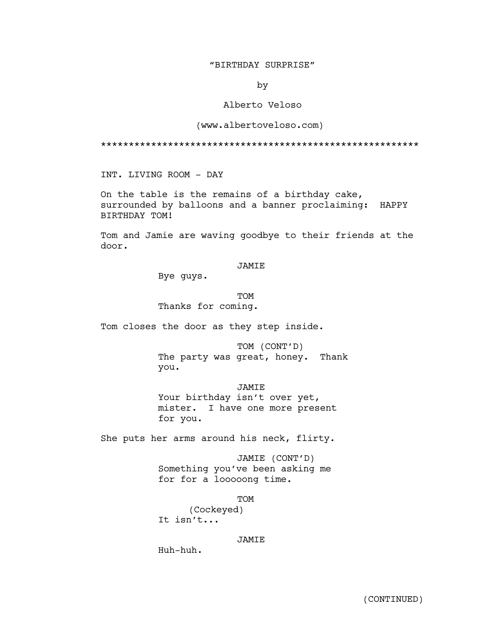## "BIRTHDAY SURPRISE"

by

# Alberto Veloso

### (www.albertoveloso.com)

\*\*\*\*\*\*\*\*\*\*\*\*\*\*\*\*\*\*\*\*\*\*\*\*\*\*\*\*\*\*\*\*\*\*\*\*\*\*\*\*\*\*\*\*\*\*\*\*\*\*\*\*\*\*\*\*\*

INT. LIVING ROOM - DAY

On the table is the remains of a birthday cake, surrounded by balloons and a banner proclaiming: HAPPY BIRTHDAY TOM!

Tom and Jamie are waving goodbye to their friends at the door.

### JAMIE

Bye guys.

TOM Thanks for coming.

Tom closes the door as they step inside.

TOM (CONT'D) The party was great, honey. Thank you.

JAMIE Your birthday isn't over yet, mister. I have one more present for you.

She puts her arms around his neck, flirty.

JAMIE (CONT'D) Something you've been asking me for for a looooong time.

TOM

(Cockeyed) It isn't...

### JAMIE

Huh-huh.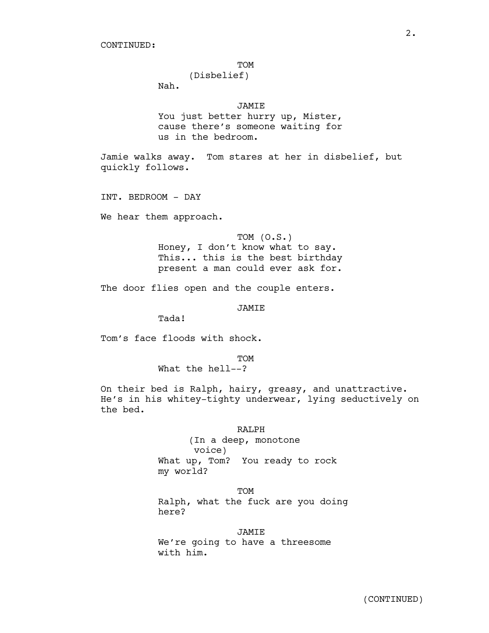#### TOM

(Disbelief)

Nah.

# JAMIE

You just better hurry up, Mister, cause there's someone waiting for us in the bedroom.

Jamie walks away. Tom stares at her in disbelief, but quickly follows.

INT. BEDROOM - DAY

We hear them approach.

TOM (O.S.) Honey, I don't know what to say. This... this is the best birthday present a man could ever ask for.

The door flies open and the couple enters.

JAMIE

Tada!

Tom's face floods with shock.

TOM

What the hell--?

On their bed is Ralph, hairy, greasy, and unattractive. He's in his whitey-tighty underwear, lying seductively on the bed.

#### RALPH

(In a deep, monotone voice) What up, Tom? You ready to rock my world?

TOM Ralph, what the fuck are you doing here?

JAMIE We're going to have a threesome with him.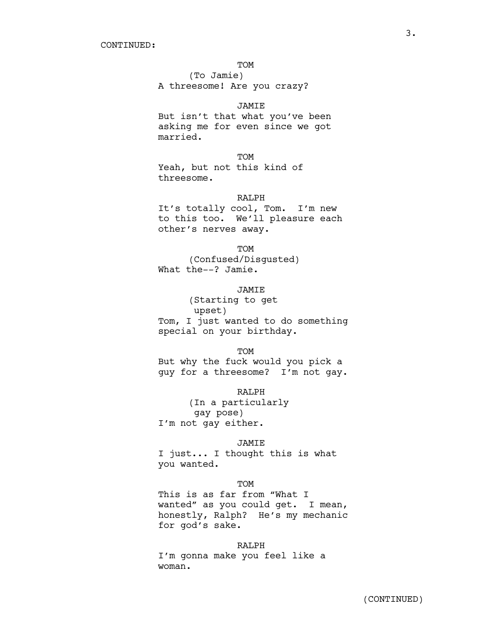### TOM

(To Jamie) A threesome! Are you crazy?

## JAMIE

But isn't that what you've been asking me for even since we got married.

TOM

Yeah, but not this kind of threesome.

### RALPH

It's totally cool, Tom. I'm new to this too. We'll pleasure each other's nerves away.

TOM

(Confused/Disgusted) What the--? Jamie.

### JAMIE

(Starting to get upset) Tom, I just wanted to do something special on your birthday.

TOM

But why the fuck would you pick a guy for a threesome? I'm not gay.

RALPH

(In a particularly gay pose) I'm not gay either.

### JAMIE

I just... I thought this is what you wanted.

**TOM** 

This is as far from "What I wanted" as you could get. I mean, honestly, Ralph? He's my mechanic for god's sake.

### RALPH

I'm gonna make you feel like a woman.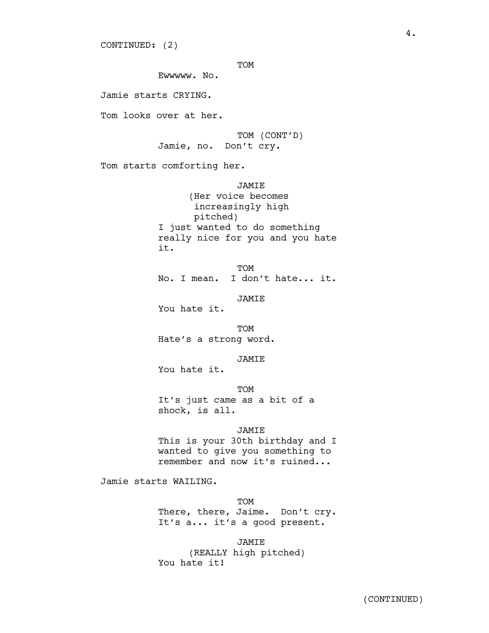CONTINUED: (2)

TOM

Ewwwww. No.

Jamie starts CRYING.

Tom looks over at her.

TOM (CONT'D) Jamie, no. Don't cry.

Tom starts comforting her.

JAMIE (Her voice becomes increasingly high pitched) I just wanted to do something really nice for you and you hate it.

TOM No. I mean. I don't hate... it.

JAMIE

You hate it.

TOM Hate's a strong word.

JAMIE

You hate it.

TOM

It's just came as a bit of a shock, is all.

JAMIE

This is your 30th birthday and I wanted to give you something to remember and now it's ruined...

Jamie starts WAILING.

TOM There, there, Jaime. Don't cry. It's a... it's a good present.

JAMIE (REALLY high pitched) You hate it!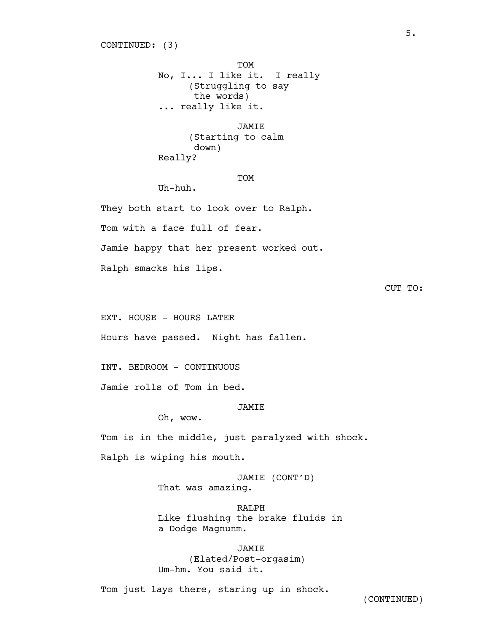TOM No, I... I like it. I really (Struggling to say the words) ... really like it.

JAMIE (Starting to calm down) Really?

#### **TOM**

Uh-huh.

They both start to look over to Ralph.

Tom with a face full of fear.

Jamie happy that her present worked out.

Ralph smacks his lips.

# CUT TO:

EXT. HOUSE - HOURS LATER

Hours have passed. Night has fallen.

INT. BEDROOM - CONTINUOUS

Jamie rolls of Tom in bed.

#### JAMIE

Oh, wow.

Tom is in the middle, just paralyzed with shock.

Ralph is wiping his mouth.

JAMIE (CONT'D) That was amazing.

RALPH Like flushing the brake fluids in a Dodge Magnunm.

JAMIE (Elated/Post-orgasim) Um-hm. You said it.

Tom just lays there, staring up in shock.

(CONTINUED)